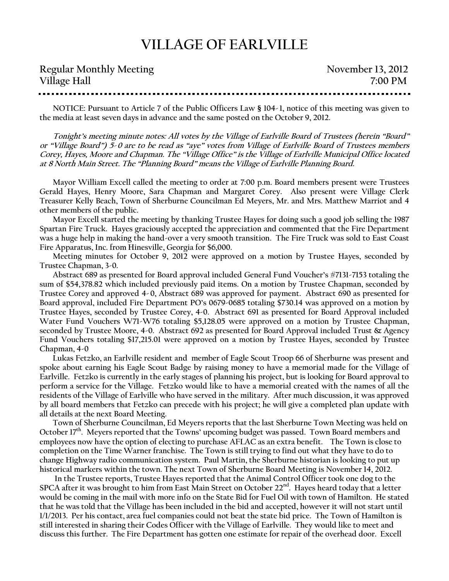## **VILLAGE OF EARLVILLE**

| <b>Regular Monthly Meeting</b> | November 13, 2012 |
|--------------------------------|-------------------|
| Village Hall                   | 7:00 PM           |

**NOTICE: Pursuant to Article 7 of the Public Officers Law § 104-1, notice of this meeting was given to the media at least seven days in advance and the same posted on the October 9, 2012.**

**Tonight's meeting minute notes: All votes by the Village of Earlville Board of Trustees (herein "Board" or "Village Board") 5-0 are to be read as "aye" votes from Village of Earlville Board of Trustees members Corey, Hayes, Moore and Chapman. The "Village Office" is the Village of Earlville Municipal Office located at 8 North Main Street. The "Planning Board" means the Village of Earlville Planning Board.**

**Mayor William Excell called the meeting to order at 7:00 p.m. Board members present were Trustees Gerald Hayes, Henry Moore, Sara Chapman and Margaret Corey. Also present were Village Clerk Treasurer Kelly Beach, Town of Sherburne Councilman Ed Meyers, Mr. and Mrs. Matthew Marriot and 4 other members of the public.**

**Mayor Excell started the meeting by thanking Trustee Hayes for doing such a good job selling the 1987 Spartan Fire Truck. Hayes graciously accepted the appreciation and commented that the Fire Department was a huge help in making the hand-over a very smooth transition. The Fire Truck was sold to East Coast Fire Apparatus, Inc. from Hinesville, Georgia for \$6,000.** 

**Meeting minutes for October 9, 2012 were approved on a motion by Trustee Hayes, seconded by Trustee Chapman, 3-0.**

**Abstract 689 as presented for Board approval included General Fund Voucher's #7131-7153 totaling the sum of \$54,378.82 which included previously paid items. On a motion by Trustee Chapman, seconded by Trustee Corey and approved 4-0, Abstract 689 was approved for payment. Abstract 690 as presented for Board approval, included Fire Department PO's 0679-0685 totaling \$730.14 was approved on a motion by Trustee Hayes, seconded by Trustee Corey, 4-0. Abstract 691 as presented for Board Approval included Water Fund Vouchers W71-W76 totaling \$5,128.05 were approved on a motion by Trustee Chapman, seconded by Trustee Moore, 4-0. Abstract 692 as presented for Board Approval included Trust & Agency Fund Vouchers totaling \$17,215.01 were approved on a motion by Trustee Hayes, seconded by Trustee Chapman, 4-0**

**Lukas Fetzko, an Earlville resident and member of Eagle Scout Troop 66 of Sherburne was present and spoke about earning his Eagle Scout Badge by raising money to have a memorial made for the Village of Earlville. Fetzko is currently in the early stages of planning his project, but is looking for Board approval to perform a service for the Village. Fetzko would like to have a memorial created with the names of all the residents of the Village of Earlville who have served in the military. After much discussion, it was approved by all board members that Fetzko can precede with his project; he will give a completed plan update with all details at the next Board Meeting.** 

**Town of Sherburne Councilman, Ed Meyers reports that the last Sherburne Town Meeting was held on October 17th. Meyers reported that the Towns' upcoming budget was passed. Town Board members and employees now have the option of electing to purchase AFLAC as an extra benefit. The Town is close to completion on the Time Warner franchise. The Town is still trying to find out what they have to do to change Highway radio communication system. Paul Martin, the Sherburne historian is looking to put up historical markers within the town. The next Town of Sherburne Board Meeting is November 14, 2012.** 

**In the Trustee reports, Trustee Hayes reported that the Animal Control Officer took one dog to the SPCA after it was brought to him from East Main Street on October 22nd. Hayes heard today that a letter would be coming in the mail with more info on the State Bid for Fuel Oil with town of Hamilton. He stated that he was told that the Village has been included in the bid and accepted, however it will not start until 1/1/2013. Per his contact, area fuel companies could not beat the state bid price. The Town of Hamilton is still interested in sharing their Codes Officer with the Village of Earlville. They would like to meet and discuss this further. The Fire Department has gotten one estimate for repair of the overhead door. Excell**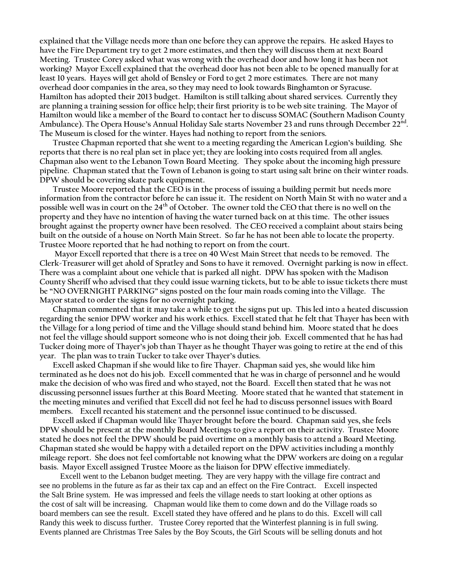**explained that the Village needs more than one before they can approve the repairs. He asked Hayes to have the Fire Department try to get 2 more estimates, and then they will discuss them at next Board Meeting. Trustee Corey asked what was wrong with the overhead door and how long it has been not working? Mayor Excell explained that the overhead door has not been able to be opened manually for at least 10 years. Hayes will get ahold of Bensley or Ford to get 2 more estimates. There are not many overhead door companies in the area, so they may need to look towards Binghamton or Syracuse. Hamilton has adopted their 2013 budget. Hamilton is still talking about shared services. Currently they are planning a training session for office help; their first priority is to be web site training. The Mayor of Hamilton would like a member of the Board to contact her to discuss SOMAC (Southern Madison County Ambulance). The Opera House's Annual Holiday Sale starts November 23 and runs through December 22nd . The Museum is closed for the winter. Hayes had nothing to report from the seniors.** 

**Trustee Chapman reported that she went to a meeting regarding the American Legion's building. She reports that there is no real plan set in place yet; they are looking into costs required from all angles. Chapman also went to the Lebanon Town Board Meeting. They spoke about the incoming high pressure pipeline. Chapman stated that the Town of Lebanon is going to start using salt brine on their winter roads. DPW should be covering skate park equipment.** 

**Trustee Moore reported that the CEO is in the process of issuing a building permit but needs more information from the contractor before he can issue it. The resident on North Main St with no water and a possible well was in court on the 24th of October. The owner told the CEO that there is no well on the property and they have no intention of having the water turned back on at this time. The other issues brought against the property owner have been resolved. The CEO received a complaint about stairs being built on the outside of a house on North Main Street. So far he has not been able to locate the property. Trustee Moore reported that he had nothing to report on from the court.** 

**Mayor Excell reported that there is a tree on 40 West Main Street that needs to be removed. The Clerk-Treasurer will get ahold of Spratley and Sons to have it removed. Overnight parking is now in effect. There was a complaint about one vehicle that is parked all night. DPW has spoken with the Madison County Sheriff who advised that they could issue warning tickets, but to be able to issue tickets there must be "NO OVERNIGHT PARKING" signs posted on the four main roads coming into the Village. The Mayor stated to order the signs for no overnight parking.** 

**Chapman commented that it may take a while to get the signs put up. This led into a heated discussion regarding the senior DPW worker and his work ethics. Excell stated that he felt that Thayer has been with the Village for a long period of time and the Village should stand behind him. Moore stated that he does not feel the village should support someone who is not doing their job. Excell commented that he has had Tucker doing more of Thayer's job than Thayer as he thought Thayer was going to retire at the end of this year. The plan was to train Tucker to take over Thayer's duties.**

**Excell asked Chapman if she would like to fire Thayer. Chapman said yes, she would like him terminated as he does not do his job. Excell commented that he was in charge of personnel and he would make the decision of who was fired and who stayed, not the Board. Excell then stated that he was not discussing personnel issues further at this Board Meeting. Moore stated that he wanted that statement in the meeting minutes and verified that Excell did not feel he had to discuss personnel issues with Board members. Excell recanted his statement and the personnel issue continued to be discussed.**

**Excell asked if Chapman would like Thayer brought before the board. Chapman said yes, she feels DPW should be present at the monthly Board Meetings to give a report on their activity. Trustee Moore stated he does not feel the DPW should be paid overtime on a monthly basis to attend a Board Meeting. Chapman stated she would be happy with a detailed report on the DPW activities including a monthly mileage report. She does not feel comfortable not knowing what the DPW workers are doing on a regular basis. Mayor Excell assigned Trustee Moore as the liaison for DPW effective immediately.** 

 Excell went to the Lebanon budget meeting. They are very happy with the village fire contract and see no problems in the future as far as their tax cap and an effect on the Fire Contract. Excell inspected the Salt Brine system. He was impressed and feels the village needs to start looking at other options as the cost of salt will be increasing. Chapman would like them to come down and do the Village roads so board members can see the result. Excell stated they have offered and he plans to do this. Excell will call Randy this week to discuss further. Trustee Corey reported that the Winterfest planning is in full swing. Events planned are Christmas Tree Sales by the Boy Scouts, the Girl Scouts will be selling donuts and hot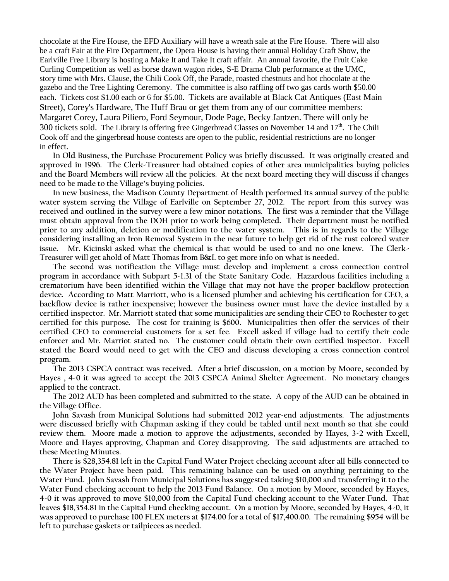chocolate at the Fire House, the EFD Auxiliary will have a wreath sale at the Fire House. There will also be a craft Fair at the Fire Department, the Opera House is having their annual Holiday Craft Show, the Earlville Free Library is hosting a Make It and Take It craft affair. An annual favorite, the Fruit Cake Curling Competition as well as horse drawn wagon rides, S-E Drama Club performance at the UMC, story time with Mrs. Clause, the Chili Cook Off, the Parade, roasted chestnuts and hot chocolate at the gazebo and the Tree Lighting Ceremony. The committee is also raffling off two gas cards worth \$50.00 each. Tickets cost \$1.00 each or 6 for \$5.00. Tickets are available at Black Cat Antiques (East Main Street), Corey's Hardware, The Huff Brau or get them from any of our committee members: Margaret Corey, Laura Piliero, Ford Seymour, Dode Page, Becky Jantzen. There will only be 300 tickets sold. The Library is offering free Gingerbread Classes on November 14 and  $17<sup>th</sup>$ . The Chili Cook off and the gingerbread house contests are open to the public, residential restrictions are no longer in effect.

**In Old Business, the Purchase Procurement Policy was briefly discussed. It was originally created and approved in 1996. The Clerk-Treasurer had obtained copies of other area municipalities buying policies and the Board Members will review all the policies. At the next board meeting they will discuss if changes need to be made to the Village's buying policies.** 

**In new business, the Madison County Department of Health performed its annual survey of the public water system serving the Village of Earlville on September 27, 2012. The report from this survey was received and outlined in the survey were a few minor notations. The first was a reminder that the Village must obtain approval from the DOH prior to work being completed. Their department must be notified prior to any addition, deletion or modification to the water system. This is in regards to the Village considering installing an Iron Removal System in the near future to help get rid of the rust colored water issue. Mr. Kicinski asked what the chemical is that would be used to and no one knew. The Clerk-Treasurer will get ahold of Matt Thomas from B&L to get more info on what is needed.** 

**The second was notification the Village must develop and implement a cross connection control program in accordance with Subpart 5-1.31 of the State Sanitary Code. Hazardous facilities including a crematorium have been identified within the Village that may not have the proper backflow protection device. According to Matt Marriott, who is a licensed plumber and achieving his certification for CEO, a backflow device is rather inexpensive; however the business owner must have the device installed by a certified inspector. Mr. Marriott stated that some municipalities are sending their CEO to Rochester to get certified for this purpose. The cost for training is \$600. Municipalities then offer the services of their certified CEO to commercial customers for a set fee. Excell asked if village had to certify their code enforcer and Mr. Marriot stated no. The customer could obtain their own certified inspector. Excell stated the Board would need to get with the CEO and discuss developing a cross connection control program.** 

**The 2013 CSPCA contract was received. After a brief discussion, on a motion by Moore, seconded by Hayes , 4-0 it was agreed to accept the 2013 CSPCA Animal Shelter Agreement. No monetary changes applied to the contract.** 

**The 2012 AUD has been completed and submitted to the state. A copy of the AUD can be obtained in the Village Office.** 

**John Savash from Municipal Solutions had submitted 2012 year-end adjustments. The adjustments were discussed briefly with Chapman asking if they could be tabled until next month so that she could review them. Moore made a motion to approve the adjustments, seconded by Hayes, 3-2 with Excell, Moore and Hayes approving, Chapman and Corey disapproving. The said adjustments are attached to these Meeting Minutes.** 

**There is \$28,354.81 left in the Capital Fund Water Project checking account after all bills connected to the Water Project have been paid. This remaining balance can be used on anything pertaining to the Water Fund. John Savash from Municipal Solutions has suggested taking \$10,000 and transferring it to the Water Fund checking account to help the 2013 Fund Balance. On a motion by Moore, seconded by Hayes, 4-0 it was approved to move \$10,000 from the Capital Fund checking account to the Water Fund. That leaves \$18,354.81 in the Capital Fund checking account. On a motion by Moore, seconded by Hayes, 4-0, it was approved to purchase 100 FLEX meters at \$174.00 for a total of \$17,400.00. The remaining \$954 will be left to purchase gaskets or tailpieces as needed.**